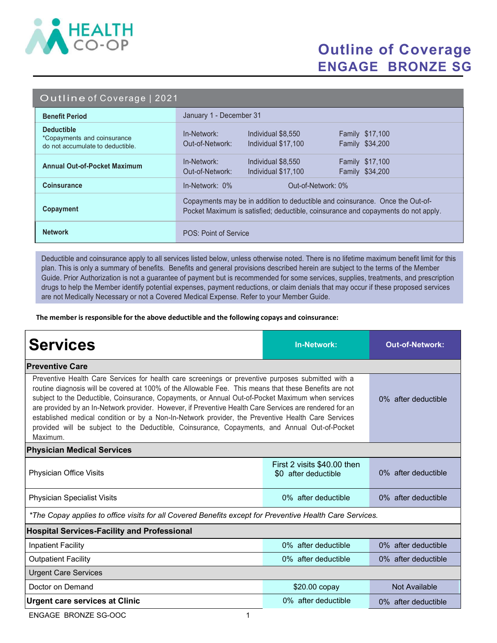

## Outline of Coverage ENGAGE BRONZE SG

|  | Outline of Coverage   2021 |  |
|--|----------------------------|--|
|  |                            |  |

| <b>Benefit Period</b>                                                                | January 1 - December 31                                                                                                                                            |  |  |
|--------------------------------------------------------------------------------------|--------------------------------------------------------------------------------------------------------------------------------------------------------------------|--|--|
| <b>Deductible</b><br>*Copayments and coinsurance<br>do not accumulate to deductible. | Individual \$8,550<br><b>Family \$17,100</b><br>In-Network:<br>Out-of-Network:<br>Individual \$17,100<br>Family \$34,200                                           |  |  |
| <b>Annual Out-of-Pocket Maximum</b>                                                  | In-Network:<br>Individual \$8,550<br><b>Family \$17,100</b><br>Family \$34,200<br>Out-of-Network:<br>Individual \$17,100                                           |  |  |
| <b>Coinsurance</b>                                                                   | $In-Network: 0\%$<br>Out-of-Network: 0%                                                                                                                            |  |  |
| Copayment                                                                            | Copayments may be in addition to deductible and coinsurance. Once the Out-of-<br>Pocket Maximum is satisfied; deductible, coinsurance and copayments do not apply. |  |  |
| <b>Network</b>                                                                       | POS: Point of Service                                                                                                                                              |  |  |

Deductible and coinsurance apply to all services listed below, unless otherwise noted. There is no lifetime maximum benefit limit for this plan. This is only a summary of benefits. Benefits and general provisions described herein are subject to the terms of the Member Guide. Prior Authorization is not a guarantee of payment but is recommended for some services, supplies, treatments, and prescription drugs to help the Member identify potential expenses, payment reductions, or claim denials that may occur if these proposed services are not Medically Necessary or not a Covered Medical Expense. Refer to your Member Guide.

The member is responsible for the above deductible and the following copays and coinsurance:

| <b>Services</b>                                                                                                                                                                                                                                                                                                                                                                                                                                                                                                                                                                                                                                 | <b>In-Network:</b>                                  | <b>Out-of-Network:</b> |  |  |  |  |
|-------------------------------------------------------------------------------------------------------------------------------------------------------------------------------------------------------------------------------------------------------------------------------------------------------------------------------------------------------------------------------------------------------------------------------------------------------------------------------------------------------------------------------------------------------------------------------------------------------------------------------------------------|-----------------------------------------------------|------------------------|--|--|--|--|
| <b>Preventive Care</b>                                                                                                                                                                                                                                                                                                                                                                                                                                                                                                                                                                                                                          |                                                     |                        |  |  |  |  |
| Preventive Health Care Services for health care screenings or preventive purposes submitted with a<br>routine diagnosis will be covered at 100% of the Allowable Fee. This means that these Benefits are not<br>subject to the Deductible, Coinsurance, Copayments, or Annual Out-of-Pocket Maximum when services<br>are provided by an In-Network provider. However, if Preventive Health Care Services are rendered for an<br>established medical condition or by a Non-In-Network provider, the Preventive Health Care Services<br>provided will be subject to the Deductible, Coinsurance, Copayments, and Annual Out-of-Pocket<br>Maximum. | 0% after deductible                                 |                        |  |  |  |  |
| <b>Physician Medical Services</b>                                                                                                                                                                                                                                                                                                                                                                                                                                                                                                                                                                                                               |                                                     |                        |  |  |  |  |
| Physician Office Visits                                                                                                                                                                                                                                                                                                                                                                                                                                                                                                                                                                                                                         | First 2 visits \$40.00 then<br>\$0 after deductible | 0% after deductible    |  |  |  |  |
| <b>Physician Specialist Visits</b>                                                                                                                                                                                                                                                                                                                                                                                                                                                                                                                                                                                                              | 0% after deductible                                 | 0% after deductible    |  |  |  |  |
| *The Copay applies to office visits for all Covered Benefits except for Preventive Health Care Services.                                                                                                                                                                                                                                                                                                                                                                                                                                                                                                                                        |                                                     |                        |  |  |  |  |
| <b>Hospital Services-Facility and Professional</b>                                                                                                                                                                                                                                                                                                                                                                                                                                                                                                                                                                                              |                                                     |                        |  |  |  |  |
| <b>Inpatient Facility</b>                                                                                                                                                                                                                                                                                                                                                                                                                                                                                                                                                                                                                       | 0% after deductible                                 | 0% after deductible    |  |  |  |  |
| <b>Outpatient Facility</b>                                                                                                                                                                                                                                                                                                                                                                                                                                                                                                                                                                                                                      | 0% after deductible                                 | 0% after deductible    |  |  |  |  |
| <b>Urgent Care Services</b>                                                                                                                                                                                                                                                                                                                                                                                                                                                                                                                                                                                                                     |                                                     |                        |  |  |  |  |
| Doctor on Demand                                                                                                                                                                                                                                                                                                                                                                                                                                                                                                                                                                                                                                | \$20.00 copay                                       | Not Available          |  |  |  |  |
| <b>Urgent care services at Clinic</b>                                                                                                                                                                                                                                                                                                                                                                                                                                                                                                                                                                                                           | 0% after deductible                                 | 0% after deductible    |  |  |  |  |

ENGAGE BRONZE SG-OOC 1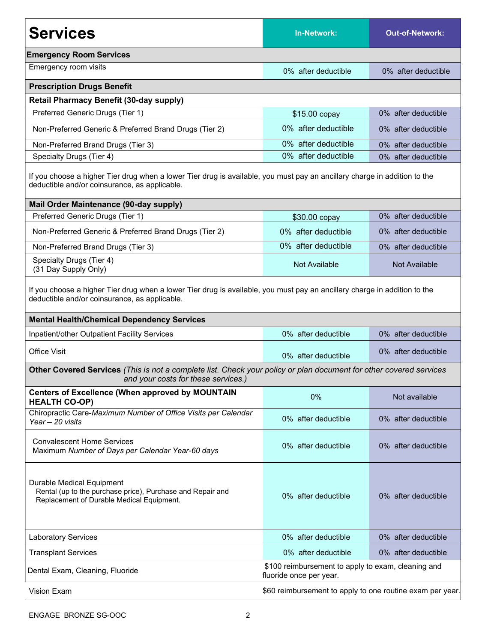| <b>Services</b>                                                                                                                                                                                                                 | In-Network:                                                                   | <b>Out-of-Network:</b> |  |  |  |
|---------------------------------------------------------------------------------------------------------------------------------------------------------------------------------------------------------------------------------|-------------------------------------------------------------------------------|------------------------|--|--|--|
| <b>Emergency Room Services</b>                                                                                                                                                                                                  |                                                                               |                        |  |  |  |
| Emergency room visits                                                                                                                                                                                                           | 0% after deductible                                                           | 0% after deductible    |  |  |  |
| <b>Prescription Drugs Benefit</b>                                                                                                                                                                                               |                                                                               |                        |  |  |  |
| <b>Retail Pharmacy Benefit (30-day supply)</b>                                                                                                                                                                                  |                                                                               |                        |  |  |  |
| Preferred Generic Drugs (Tier 1)                                                                                                                                                                                                | \$15.00 copay                                                                 | 0% after deductible    |  |  |  |
| Non-Preferred Generic & Preferred Brand Drugs (Tier 2)                                                                                                                                                                          | 0% after deductible                                                           | 0% after deductible    |  |  |  |
| Non-Preferred Brand Drugs (Tier 3)                                                                                                                                                                                              | 0% after deductible                                                           | 0% after deductible    |  |  |  |
| Specialty Drugs (Tier 4)                                                                                                                                                                                                        | 0% after deductible                                                           | 0% after deductible    |  |  |  |
| If you choose a higher Tier drug when a lower Tier drug is available, you must pay an ancillary charge in addition to the<br>deductible and/or coinsurance, as applicable.                                                      |                                                                               |                        |  |  |  |
| Mail Order Maintenance (90-day supply)                                                                                                                                                                                          |                                                                               |                        |  |  |  |
| Preferred Generic Drugs (Tier 1)                                                                                                                                                                                                | \$30.00 copay                                                                 | 0% after deductible    |  |  |  |
| Non-Preferred Generic & Preferred Brand Drugs (Tier 2)                                                                                                                                                                          | 0% after deductible                                                           | 0% after deductible    |  |  |  |
| Non-Preferred Brand Drugs (Tier 3)                                                                                                                                                                                              | 0% after deductible                                                           | 0% after deductible    |  |  |  |
| Specialty Drugs (Tier 4)<br>(31 Day Supply Only)                                                                                                                                                                                | Not Available                                                                 | Not Available          |  |  |  |
| If you choose a higher Tier drug when a lower Tier drug is available, you must pay an ancillary charge in addition to the<br>deductible and/or coinsurance, as applicable.<br><b>Mental Health/Chemical Dependency Services</b> |                                                                               |                        |  |  |  |
| Inpatient/other Outpatient Facility Services                                                                                                                                                                                    | 0% after deductible                                                           | 0% after deductible    |  |  |  |
| <b>Office Visit</b>                                                                                                                                                                                                             | 0% after deductible                                                           | 0% after deductible    |  |  |  |
| Other Covered Services (This is not a complete list. Check your policy or plan document for other covered services<br>and your costs for these services.)                                                                       |                                                                               |                        |  |  |  |
| <b>Centers of Excellence (When approved by MOUNTAIN</b><br><b>HEALTH CO-OP)</b>                                                                                                                                                 | 0%                                                                            | Not available          |  |  |  |
| Chiropractic Care-Maximum Number of Office Visits per Calendar<br>Year - 20 visits                                                                                                                                              | 0% after deductible                                                           | 0% after deductible    |  |  |  |
| <b>Convalescent Home Services</b><br>Maximum Number of Days per Calendar Year-60 days                                                                                                                                           | 0% after deductible                                                           | 0% after deductible    |  |  |  |
| Durable Medical Equipment<br>Rental (up to the purchase price), Purchase and Repair and<br>Replacement of Durable Medical Equipment.                                                                                            | 0% after deductible                                                           | 0% after deductible    |  |  |  |
| <b>Laboratory Services</b>                                                                                                                                                                                                      | 0% after deductible                                                           | 0% after deductible    |  |  |  |
| <b>Transplant Services</b>                                                                                                                                                                                                      | 0% after deductible                                                           | 0% after deductible    |  |  |  |
| Dental Exam, Cleaning, Fluoride                                                                                                                                                                                                 | \$100 reimbursement to apply to exam, cleaning and<br>fluoride once per year. |                        |  |  |  |
| Vision Exam                                                                                                                                                                                                                     | \$60 reimbursement to apply to one routine exam per year.                     |                        |  |  |  |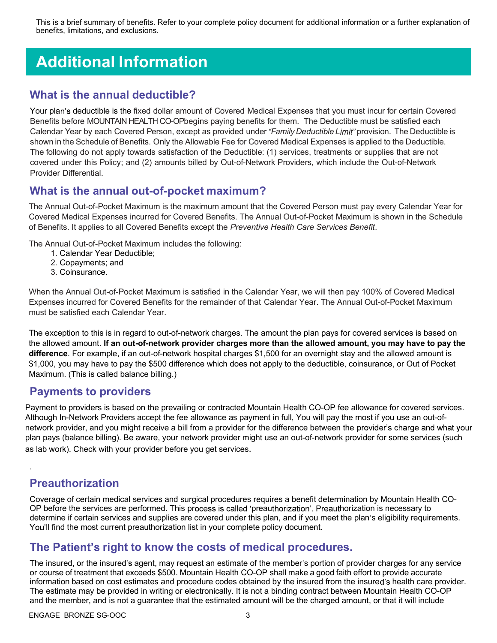This is a brief summary of benefits. Refer to your complete policy document for additional information or a further explanation of benefits, limitations, and exclusions.

# Additional Information

#### What is the annual deductible?

Your plan's deductible is the fixed dollar amount of Covered Medical Expenses that you must incur for certain Covered Benefits before MOUNTAIN HEALTH CO-OPbegins paying benefits for them. The Deductible must be satisfied each Calendar Year by each Covered Person, except as provided under "Family Deductible Limit" provision. The Deductible is shown in the Schedule of Benefits. Only the Allowable Fee for Covered Medical Expenses is applied to the Deductible. The following do not apply towards satisfaction of the Deductible: (1) services, treatments or supplies that are not covered under this Policy; and (2) amounts billed by Out-of-Network Providers, which include the Out-of-Network Provider Differential.

#### What is the annual out-of-pocket maximum?

The Annual Out-of-Pocket Maximum is the maximum amount that the Covered Person must pay every Calendar Year for Covered Medical Expenses incurred for Covered Benefits. The Annual Out-of-Pocket Maximum is shown in the Schedule of Benefits. It applies to all Covered Benefits except the Preventive Health Care Services Benefit.

The Annual Out-of-Pocket Maximum includes the following:

- 1. Calendar Year Deductible;
- 2. Copayments; and
- 3. Coinsurance.

When the Annual Out-of-Pocket Maximum is satisfied in the Calendar Year, we will then pay 100% of Covered Medical Expenses incurred for Covered Benefits for the remainder of that Calendar Year. The Annual Out-of-Pocket Maximum must be satisfied each Calendar Year.

The exception to this is in regard to out-of-network charges. The amount the plan pays for covered services is based on the allowed amount. If an out-of-network provider charges more than the allowed amount, you may have to pay the difference. For example, if an out-of-network hospital charges \$1,500 for an overnight stay and the allowed amount is \$1,000, you may have to pay the \$500 difference which does not apply to the deductible, coinsurance, or Out of Pocket Maximum. (This is called balance billing.)

#### Payments to providers

Payment to providers is based on the prevailing or contracted Mountain Health CO-OP fee allowance for covered services. Although In-Network Providers accept the fee allowance as payment in full, You will pay the most if you use an out-ofnetwork provider, and you might receive a bill from a provider for the difference between the provider's charge and what your plan pays (balance billing). Be aware, your network provider might use an out-of-network provider for some services (such as lab work). Check with your provider before you get services.

### Preauthorization

.

Coverage of certain medical services and surgical procedures requires a benefit determination by Mountain Health CO-OP before the services are performed. This process is called 'preauthorization'. Preauthorization is necessary to determine if certain services and supplies are covered under this plan, and if you meet the plan's eligibility requirements. You'll find the most current preauthorization list in your complete policy document.

#### The Patient's right to know the costs of medical procedures.

The insured, or the insured's agent, may request an estimate of the member's portion of provider charges for any service or course of treatment that exceeds \$500. Mountain Health CO-OP shall make a good faith effort to provide accurate information based on cost estimates and procedure codes obtained by the insured from the insured's health care provider. The estimate may be provided in writing or electronically. It is not a binding contract between Mountain Health CO-OP and the member, and is not a guarantee that the estimated amount will be the charged amount, or that it will include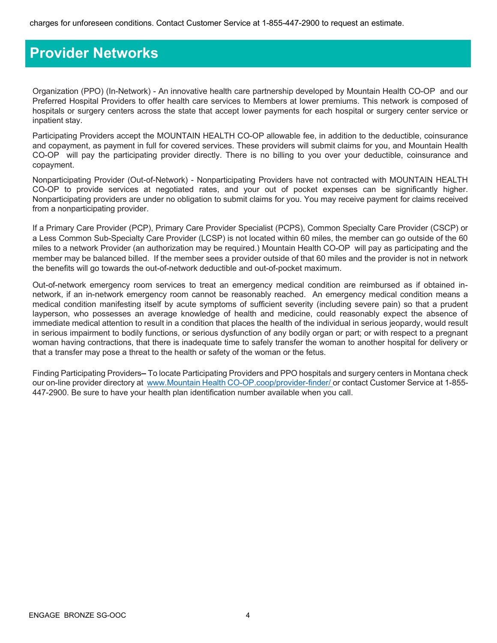## Provider Networks

Organization (PPO) (In-Network) - An innovative health care partnership developed by Mountain Health CO-OP and our Preferred Hospital Providers to offer health care services to Members at lower premiums. This network is composed of hospitals or surgery centers across the state that accept lower payments for each hospital or surgery center service or inpatient stay.

Participating Providers accept the MOUNTAIN HEALTH CO-OP allowable fee, in addition to the deductible, coinsurance and copayment, as payment in full for covered services. These providers will submit claims for you, and Mountain Health CO-OP will pay the participating provider directly. There is no billing to you over your deductible, coinsurance and copayment.

Nonparticipating Provider (Out-of-Network) - Nonparticipating Providers have not contracted with MOUNTAIN HEALTH CO-OP to provide services at negotiated rates, and your out of pocket expenses can be significantly higher. Nonparticipating providers are under no obligation to submit claims for you. You may receive payment for claims received from a nonparticipating provider.

If a Primary Care Provider (PCP), Primary Care Provider Specialist (PCPS), Common Specialty Care Provider (CSCP) or a Less Common Sub-Specialty Care Provider (LCSP) is not located within 60 miles, the member can go outside of the 60 miles to a network Provider (an authorization may be required.) Mountain Health CO-OP will pay as participating and the member may be balanced billed. If the member sees a provider outside of that 60 miles and the provider is not in network the benefits will go towards the out-of-network deductible and out-of-pocket maximum.

Out-of-network emergency room services to treat an emergency medical condition are reimbursed as if obtained innetwork, if an in-network emergency room cannot be reasonably reached. An emergency medical condition means a medical condition manifesting itself by acute symptoms of sufficient severity (including severe pain) so that a prudent layperson, who possesses an average knowledge of health and medicine, could reasonably expect the absence of immediate medical attention to result in a condition that places the health of the individual in serious jeopardy, would result in serious impairment to bodily functions, or serious dysfunction of any bodily organ or part; or with respect to a pregnant woman having contractions, that there is inadequate time to safely transfer the woman to another hospital for delivery or that a transfer may pose a threat to the health or safety of the woman or the fetus.

Finding Participating Providers–To locate Participating Providers and PPO hospitals and surgery centers in Montana check our on-line provider directory at www.Mountain Health CO-OP.coop/provider-finder/ or contact Customer Service at 1-855-447-2900. Be sure to have your health plan identification number available when you call.